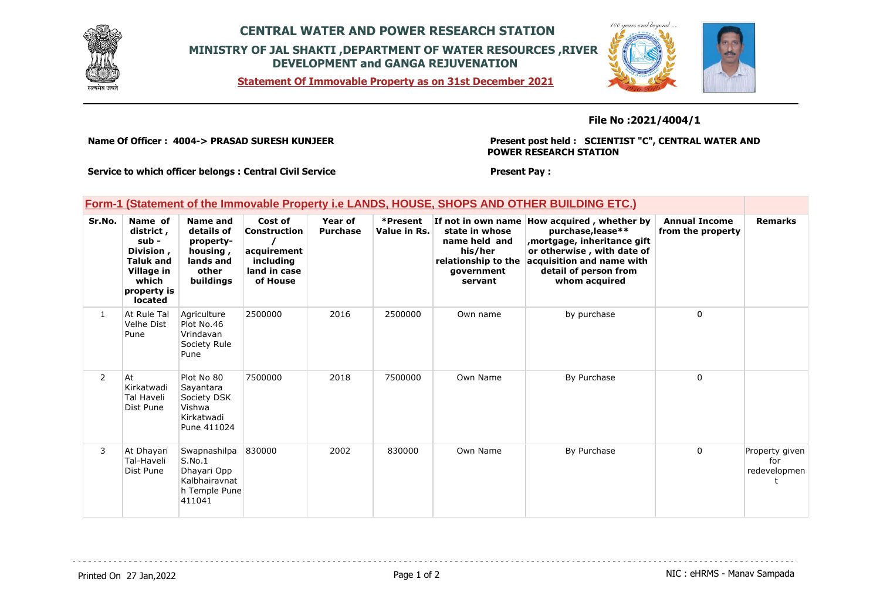

## **CENTRAL WATER AND POWER RESEARCH STATION MINISTRY OF JAL SHAKTI ,DEPARTMENT OF WATER RESOURCES ,RIVER DEVELOPMENT and GANGA REJUVENATION**

**Statement Of Immovable Property as on 31st December 2021**



## **File No :2021/4004/1**

**Name Of Officer : 4004-> PRASAD SURESH KUNJEER** 

**Present post held : SCIENTIST "C", CENTRAL WATER AND POWER RESEARCH STATION**

. . . . . . . . . . . . . . . . . . .

**Service to which officer belongs : Central Civil Service**

## **Present Pay :**

|  |  |  | Form-1 (Statement of the Immovable Property i.e LANDS, HOUSE, SHOPS AND OTHER BUILDING ETC.) |
|--|--|--|----------------------------------------------------------------------------------------------|
|--|--|--|----------------------------------------------------------------------------------------------|

| Sr.No.         | Name of<br>district,<br>sub -<br>Division,<br><b>Taluk and</b><br>Village in<br>which<br>property is<br><b>located</b> | <b>Name and</b><br>details of<br>property-<br>housing,<br>lands and<br>other<br>buildings | Cost of<br><b>Construction</b><br>acquirement<br>including<br>land in case<br>of House | Year of<br><b>Purchase</b> | *Present<br>Value in Rs. | If not in own name<br>state in whose<br>name held and<br>his/her<br>relationship to the<br>government<br>servant | How acquired, whether by<br>purchase, lease**<br>, mortgage, inheritance gift<br>or otherwise, with date of<br>acquisition and name with<br>detail of person from<br>whom acquired | <b>Annual Income</b><br>from the property | <b>Remarks</b>                        |
|----------------|------------------------------------------------------------------------------------------------------------------------|-------------------------------------------------------------------------------------------|----------------------------------------------------------------------------------------|----------------------------|--------------------------|------------------------------------------------------------------------------------------------------------------|------------------------------------------------------------------------------------------------------------------------------------------------------------------------------------|-------------------------------------------|---------------------------------------|
| $\mathbf{1}$   | At Rule Tal<br>Velhe Dist<br>Pune                                                                                      | Agriculture<br>Plot No.46<br>Vrindavan<br>Society Rule<br>Pune                            | 2500000                                                                                | 2016                       | 2500000                  | Own name                                                                                                         | by purchase                                                                                                                                                                        | $\Omega$                                  |                                       |
| $\overline{2}$ | At<br>Kirkatwadi<br>Tal Haveli<br>Dist Pune                                                                            | Plot No 80<br>Sayantara<br>Society DSK<br>Vishwa<br>Kirkatwadi<br>Pune 411024             | 7500000                                                                                | 2018                       | 7500000                  | Own Name                                                                                                         | By Purchase                                                                                                                                                                        | 0                                         |                                       |
| 3              | At Dhayari<br>Tal-Haveli<br>Dist Pune                                                                                  | Swapnashilpa<br>S.No.1<br>Dhayari Opp<br>Kalbhairavnat<br>h Temple Pune<br>411041         | 830000                                                                                 | 2002                       | 830000                   | Own Name                                                                                                         | By Purchase                                                                                                                                                                        | 0                                         | Property given<br>for<br>redevelopmen |